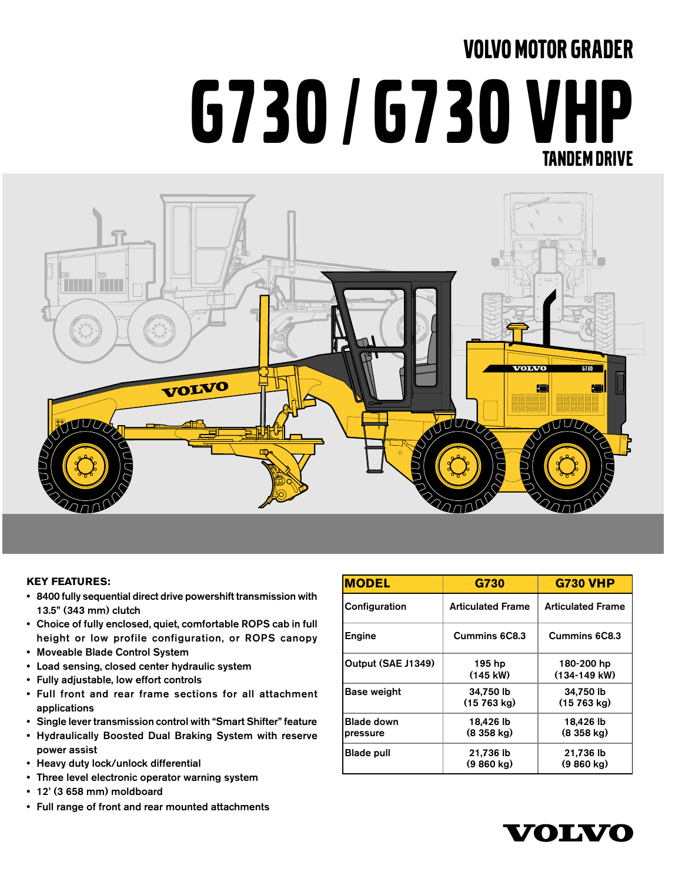# VOLVO MOTOR GRADER G730 / G730 VHP TANDEM DRIVE



#### **KEY FEATURES:**

- 8400 fully sequential direct drive powershift transmission with 13.5" (343 mm) clutch
- Choice of fully enclosed, quiet, comfortable ROPS cab in full height or low profile configuration, or ROPS canopy
- Moveable Blade Control System
- Load sensing, closed center hydraulic system
- Fully adjustable, low effort controls
- Full front and rear frame sections for all attachment applications
- Single lever transmission control with "Smart Shifter" feature
- Hydraulically Boosted Dual Braking System with reserve power assist
- Heavy duty lock/unlock differential
- Three level electronic operator warning system
- 12' (3 658 mm) moldboard
- Full range of front and rear mounted attachments

| <b>MODEL</b>                  | G730                              | <b>G730 VHP</b>                   |
|-------------------------------|-----------------------------------|-----------------------------------|
| Configuration                 | <b>Articulated Frame</b>          | <b>Articulated Frame</b>          |
| Engine                        | Cummins 6C8.3                     | Cummins 6C8.3                     |
| Output (SAE J1349)            | 195 hp<br>$(145 \text{ kW})$      | 180-200 hp<br>$(134-149$ kW)      |
| Base weight                   | 34,750 lb<br>$(15763 \text{ ka})$ | 34,750 lb<br>$(15763 \text{ ka})$ |
| <b>Blade down</b><br>pressure | 18,426 lb<br>$(8358 \text{ kg})$  | 18,426 lb<br>$(8358 \text{ kg})$  |
| <b>Blade pull</b>             | 21.736 lb<br>$(9860 \text{ kg})$  | 21.736 lb<br>$(9860 \text{ kg})$  |

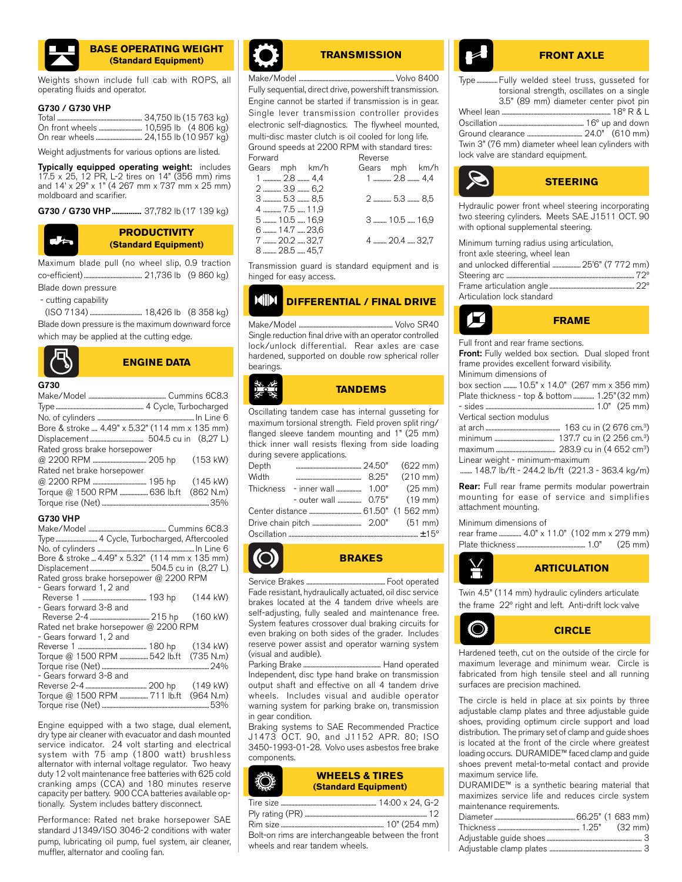

#### **BASE OPERATING WEIGHT (Standard Equipment)**

Weights shown include full cab with ROPS, all operating fluids and operator.

#### G730 / G730 VHP

Weight adjustments for various options are listed.

Typically equipped operating weight: includes 17.5 x 25, 12 PR, L-2 tires on 14" (356 mm) rims and 14' x 29" x 1" (4 267 mm x 737 mm x 25 mm) moldboard and scarifier.

G730 / G730 VHP ................. 37,782 lb (17 139 kg)



#### **PRODUCTIVITY (Standard Equipment)**

Maximum blade pull (no wheel slip, 0.9 traction co-efficient) ....................................... 21,736 lb (9 860 kg)

Blade down pressure

- cutting capability

 (ISO 7134) ................................... 18,426 lb (8 358 kg) Blade down pressure is the maximum downward force which may be applied at the cutting edge.



**ENGINE DATA**

```
G730
```

| . |                                                            |
|---|------------------------------------------------------------|
|   |                                                            |
|   |                                                            |
|   |                                                            |
|   | Bore & stroke $A AQ'' \vee B Q''$ (114 mm $\times$ 135 mm) |

| Bore & stroke  4.49" x 5.32" (114 mm x 135 mm) |  |
|------------------------------------------------|--|
|                                                |  |
| Rated gross brake horsepower                   |  |
|                                                |  |
| Rated net brake horsepower                     |  |
|                                                |  |
| Torque @ 1500 RPM  636 lb.ft (862 N.m)         |  |
|                                                |  |
|                                                |  |

#### G730 VHP

| Type  4 Cycle, Turbocharged, Aftercooled       |                    |
|------------------------------------------------|--------------------|
|                                                |                    |
| Bore & stroke  4.49" x 5.32" (114 mm x 135 mm) |                    |
|                                                |                    |
| Rated gross brake horsepower @ 2200 RPM        |                    |
| - Gears forward 1, 2 and                       |                    |
|                                                | $(144 \text{ kW})$ |
| - Gears forward 3-8 and                        |                    |
|                                                |                    |
| Rated net brake horsepower @ 2200 RPM          |                    |
| - Gears forward 1, 2 and                       |                    |
|                                                |                    |
| Torque @ 1500 RPM 542 lb.ft (735 N.m)          |                    |
|                                                |                    |
| - Gears forward 3-8 and                        |                    |
|                                                |                    |
| Torque @ 1500 RPM  711 lb.ft (964 N.m)         |                    |
|                                                |                    |

Engine equipped with a two stage, dual element, dry type air cleaner with evacuator and dash mounted service indicator. 24 volt starting and electrical system with 75 amp (1800 watt) brushless alternator with internal voltage regulator. Two heavy duty 12 volt maintenance free batteries with 625 cold cranking amps (CCA) and 180 minutes reserve capacity per battery. 900 CCA batteries available optionally. System includes battery disconnect.

Performance: Rated net brake horsepower SAE standard J1349/ISO 3046-2 conditions with water pump, lubricating oil pump, fuel system, air cleaner, muffler, alternator and cooling fan.



#### **TRANSMISSION**

Make/Model ................................................................ Volvo 8400 Fully sequential, direct drive, powershift transmission. Engine cannot be started if transmission is in gear. Single lever transmission controller provides electronic self-diagnostics. The flywheel mounted, multi-disc master clutch is oil cooled for long life.

Ground speeds at 2200 RPM with standard tires:<br>Enward Beverse Forward Reverse<br>Gears mph km/h Gears Gears mph km/h

| 1  2.8  4,4   | 1  2.8  4,4   |
|---------------|---------------|
| 2  3.9  6,2   |               |
| 3  5.3  8,5   | 2  5.3  8.5   |
| 4  7.5  11,9  |               |
| 5  10.5  16,9 | 3  10.5  16.9 |
| 6  14.7  23.6 |               |
| 7  20.2  32,7 | 4  20.4  32,7 |
| 8  28.5  45,7 |               |
|               |               |

Transmission guard is standard equipment and is hinged for easy access.

#### **DIFFERENTIAL / FINAL DRIVE MIN**

Make/Model ............................................................... Volvo SR40 Single reduction final drive with an operator controlled lock/unlock differential. Rear axles are case hardened, supported on double row spherical roller bearings.

**TANDEMS**

Oscillating tandem case has internal gusseting for maximum torsional strength. Field proven split ring/ flanged sleeve tandem mounting and 1" (25 mm) thick inner wall resists flexing from side loading during severe applications.

| Depth |  |  |
|-------|--|--|
| Width |  |  |
|       |  |  |
|       |  |  |
|       |  |  |
|       |  |  |
|       |  |  |

**BRAKES**

Service Brakes ..................................................... Foot operated Fade resistant, hydraulically actuated, oil disc service brakes located at the 4 tandem drive wheels are self-adjusting, fully sealed and maintenance free. System features crossover dual braking circuits for even braking on both sides of the grader. Includes reserve power assist and operator warning system (visual and audible).

Parking Brake .................................................... Hand operated Independent, disc type hand brake on transmission output shaft and effective on all 4 tandem drive wheels. Includes visual and audible operator warning system for parking brake on, transmission in gear condition.

Braking systems to SAE Recommended Practice J1473 OCT. 90, and J1152 APR. 80; ISO 3450-1993-01-28. Volvo uses asbestos free brake components.

| <b>WHEELS &amp; TIRES</b>   |
|-----------------------------|
| <b>(Standard Equipment)</b> |

Bolt-on rims are interchangeable between the front wheels and rear tandem wheels.

### **FRONT AXLE**

Type .............. Fully welded steel truss, gusseted for torsional strength, oscillates on a single 3.5" (89 mm) diameter center pivot pin

| Twin 3" (76 mm) diameter wheel lean cylinders with |  |
|----------------------------------------------------|--|
| lock valve are standard equipment.                 |  |



Hydraulic power front wheel steering incorporating two steering cylinders. Meets SAE J1511 OCT. 90 with optional supplemental steering.

| Minimum turning radius using articulation,  |  |
|---------------------------------------------|--|
| front axle steering, wheel lean             |  |
| and unlocked differential  25'6" (7 772 mm) |  |
|                                             |  |
|                                             |  |
| Articulation lock standard                  |  |
|                                             |  |



Full front and rear frame sections.

Front: Fully welded box section. Dual sloped front frame provides excellent forward visibility. Minimum dimensions of

| box section  10.5" x 14.0" (267 mm x 356 mm)  |  |  |
|-----------------------------------------------|--|--|
| Plate thickness - top & bottom  1.25" (32 mm) |  |  |
|                                               |  |  |
| Vertical section modulus                      |  |  |
|                                               |  |  |
|                                               |  |  |

| 137.7 cu in (2 256 cm. <sup>3</sup> ) |
|---------------------------------------|
| $(1000 - 1)$ $(1000 - 3)$             |

maximum ........................................ 283.9 cu in (4 652 cm3)

Linear weight - minimum-maximum ........ 148.7 lb/ft - 244.2 lb/ft (221.3 - 363.4 kg/m)

Rear: Full rear frame permits modular powertrain mounting for ease of service and simplifies attachment mounting.

#### Minimum dimensions of

rear frame ............... 4.0" x 11.0" (102 mm x 279 mm) Plate thickness .............................................. 1.0" (25 mm)



Twin 4.5" (114 mm) hydraulic cylinders articulate the frame 22º right and left. Anti-drift lock valve



maximum leverage and minimum wear. Circle is fabricated from high tensile steel and all running surfaces are precision machined.

The circle is held in place at six points by three adjustable clamp plates and three adjustable guide shoes, providing optimum circle support and load distribution. The primary set of clamp and guide shoes is located at the front of the circle where greatest loading occurs. DURAMIDE™ faced clamp and guide shoes prevent metal-to-metal contact and provide maximum service life.

DURAMIDE™ is a synthetic bearing material that maximizes service life and reduces circle system maintenance requirements.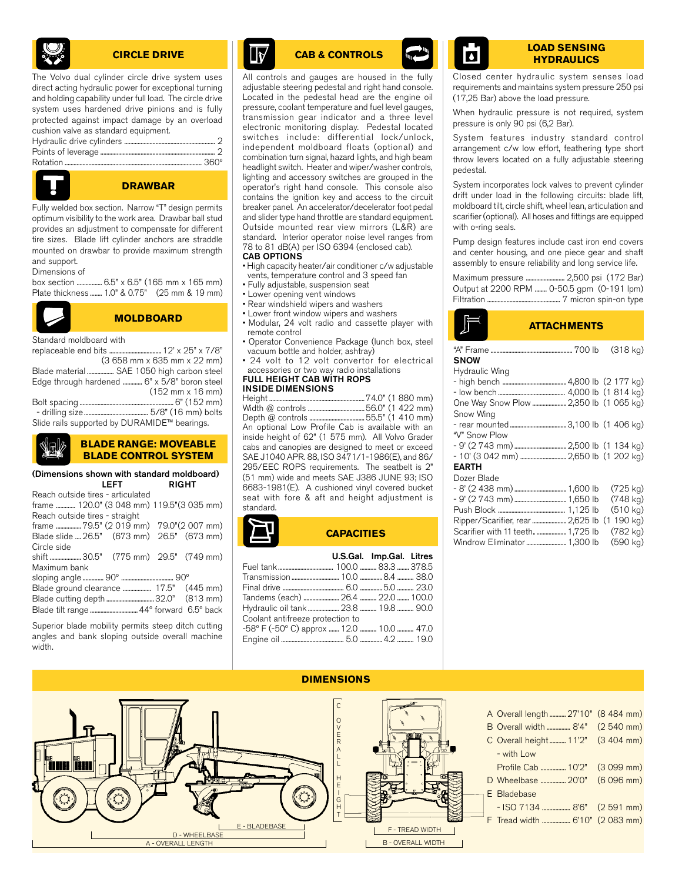

#### **CIRCLE DRIVE**

The Volvo dual cylinder circle drive system uses direct acting hydraulic power for exceptional turning and holding capability under full load. The circle drive system uses hardened drive pinions and is fully protected against impact damage by an overload cushion valve as standard equipment.



#### **DRAWBAR**

Fully welded box section. Narrow "T" design permits optimum visibility to the work area. Drawbar ball stud provides an adjustment to compensate for different tire sizes. Blade lift cylinder anchors are straddle mounted on drawbar to provide maximum strength and support.

Dimensions of

box section ................. 6.5" x 6.5" (165 mm x 165 mm) Plate thickness ........ 1.0" & 0.75" (25 mm & 19 mm)



#### **MOLDBOARD**

Standard moldboard with

|                                              | $(3658 \text{ mm} \times 635 \text{ mm} \times 22 \text{ mm})$ |
|----------------------------------------------|----------------------------------------------------------------|
| Blade material  SAE 1050 high carbon steel   |                                                                |
| Edge through hardened  6" x 5/8" boron steel |                                                                |
|                                              | $(152 \, \text{mm} \times 16 \, \text{mm})$                    |
|                                              |                                                                |
|                                              |                                                                |
| Slide rails supported by DURAMIDE™ bearings. |                                                                |

#### **BLADE RANGE: MOVEABLE BLADE CONTROL SYSTEM**

#### (Dimensions shown with standard moldboard) LEFT RIGHT

| Reach outside tires - articulated          |  |  |
|--------------------------------------------|--|--|
| frame  120.0" (3 048 mm) 119.5" (3 035 mm) |  |  |
| Reach outside tires - straight             |  |  |
| frame 79.5" (2 019 mm) 79.0"(2 007 mm)     |  |  |
| Blade slide  26.5" (673 mm) 26.5" (673 mm) |  |  |
| Circle side                                |  |  |
| shift  30.5" (775 mm) 29.5" (749 mm)       |  |  |
| Maximum bank                               |  |  |
|                                            |  |  |
| Blade ground clearance  17.5" (445 mm)     |  |  |
|                                            |  |  |
|                                            |  |  |
|                                            |  |  |

Superior blade mobility permits steep ditch cutting angles and bank sloping outside overall machine width.

inn Tw



# **CAB & CONTROLS LOAD SENSING**

All controls and gauges are housed in the fully adjustable steering pedestal and right hand console. Located in the pedestal head are the engine oil pressure, coolant temperature and fuel level gauges, transmission gear indicator and a three level electronic monitoring display. Pedestal located switches include: differential lock/unlock, independent moldboard floats (optional) and combination turn signal, hazard lights, and high beam headlight switch. Heater and wiper/washer controls, lighting and accessory switches are grouped in the operator's right hand console. This console also contains the ignition key and access to the circuit breaker panel. An accelerator/decelerator foot pedal and slider type hand throttle are standard equipment. Outside mounted rear view mirrors (L&R) are standard. Interior operator noise level ranges from 78 to 81 dB(A) per ISO 6394 (enclosed cab). CAB OPTIONS

- High capacity heater/air conditioner c/w adjustable vents, temperature control and 3 speed fan
- Fully adjustable, suspension seat
- Lower opening vent windows
- Rear windshield wipers and washers
- Lower front window wipers and washers
- Modular, 24 volt radio and cassette player with remote control
- Operator Convenience Package (lunch box, steel vacuum bottle and holder, ashtray)
- 24 volt to 12 volt convertor for electrical accessories or two way radio installations

#### FULL HEIGHT CAB WITH ROPS INSIDE DIMENSIONS

Height ................................................................74.0" (1 880 mm) ...56.0" (1 422 mm)<br>...55.5" (1 410 mm) Depth @ controls ...... An optional Low Profile Cab is available with an inside height of 62" (1 575 mm). All Volvo Grader cabs and canopies are designed to meet or exceed SAE J1040 APR. 88, ISO 3471/1-1986(E), and 86/ 295/EEC ROPS requirements. The seatbelt is 2" (51 mm) wide and meets SAE J386 JUNE 93; ISO 6683-1981(E). A cushioned vinyl covered bucket seat with fore & aft and height adjustment is standard.

# **CAPACITIES**

|                                     | U.S.Gal. Imp.Gal. Litres |  |
|-------------------------------------|--------------------------|--|
|                                     |                          |  |
|                                     |                          |  |
|                                     |                          |  |
|                                     |                          |  |
| Hydraulic oil tank 23.8  19.8  90.0 |                          |  |
| Coolant antifreeze protection to    |                          |  |
|                                     |                          |  |
|                                     |                          |  |
|                                     |                          |  |

# **HYDRAULICS**

Closed center hydraulic system senses load requirements and maintains system pressure 250 psi (17,25 Bar) above the load pressure.

When hydraulic pressure is not required, system pressure is only 90 psi (6,2 Bar).

System features industry standard control arrangement c/w low effort, feathering type short throw levers located on a fully adjustable steering pedestal.

System incorporates lock valves to prevent cylinder drift under load in the following circuits: blade lift, moldboard tilt, circle shift, wheel lean, articulation and scarifier (optional). All hoses and fittings are equipped with o-ring seals.

Pump design features include cast iron end covers and center housing, and one piece gear and shaft assembly to ensure reliability and long service life.

Maximum pressure .......................... 2,500 psi (172 Bar) Output at 2200 RPM ........ 0-50.5 gpm (0-191 lpm) Filtration ................................................. 7 micron spin-on type

## **ATTACHMENTS**

| <b>SNOW</b>                                 | (318 kg)           |
|---------------------------------------------|--------------------|
| Hydraulic Wing                              |                    |
|                                             |                    |
|                                             |                    |
|                                             |                    |
| Snow Wing                                   |                    |
|                                             |                    |
| "V" Snow Plow                               |                    |
|                                             |                    |
|                                             |                    |
| <b>EARTH</b>                                |                    |
| Dozer Blade                                 |                    |
|                                             | (725 kg)           |
|                                             | (748 kg)           |
|                                             | $(510 \text{ kg})$ |
| Ripper/Scarifier, rear  2,625 lb (1 190 kg) |                    |
| Scarifier with 11 teeth.  1,725 lb          | (782 kg)           |
| Windrow Eliminator  1,300 lb                | $(590 \text{ kg})$ |



E - BLADEBASE

D - WHEELBASE

A - OVERALL LENGTH



|  | A Overall length  27'10" (8 484 mm) |  |
|--|-------------------------------------|--|
|  | B Overall width  8'4" (2 540 mm)    |  |
|  | C Overall height 11'2" (3 404 mm)   |  |
|  | - with Low                          |  |
|  | Profile Cab  10'2" (3 099 mm)       |  |
|  |                                     |  |
|  | E Bladebase                         |  |
|  | - ISO 7134  8'6" (2 591 mm)         |  |
|  | F Tread width  6'10" (2 083 mm)     |  |
|  |                                     |  |

#### **DIMENSIONS**

I

T